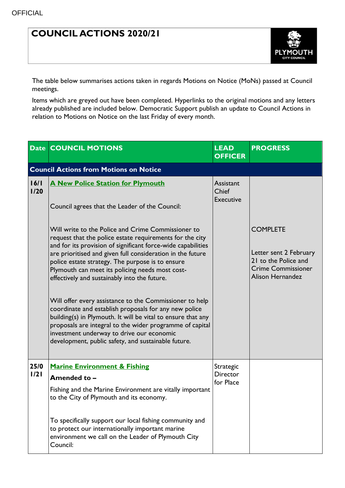## **COUNCIL ACTIONS 2020/21**



The table below summarises actions taken in regards Motions on Notice (MoNs) passed at Council meetings.

Items which are greyed out have been completed. Hyperlinks to the original motions and any letters already published are included below. Democratic Support publish an update to Council Actions in relation to Motions on Notice on the last Friday of every month.

|              | <b>Date COUNCIL MOTIONS</b>                                                                                                                                                                                                                                                                                                                                                                                                                                                                                                                                                                                                                                                                                                                             | <b>LEAD</b><br><b>OFFICER</b>                 | <b>PROGRESS</b>                                                                                                           |
|--------------|---------------------------------------------------------------------------------------------------------------------------------------------------------------------------------------------------------------------------------------------------------------------------------------------------------------------------------------------------------------------------------------------------------------------------------------------------------------------------------------------------------------------------------------------------------------------------------------------------------------------------------------------------------------------------------------------------------------------------------------------------------|-----------------------------------------------|---------------------------------------------------------------------------------------------------------------------------|
|              | <b>Council Actions from Motions on Notice</b>                                                                                                                                                                                                                                                                                                                                                                                                                                                                                                                                                                                                                                                                                                           |                                               |                                                                                                                           |
| 16/1<br>1/20 | <b>A New Police Station for Plymouth</b><br>Council agrees that the Leader of the Council:                                                                                                                                                                                                                                                                                                                                                                                                                                                                                                                                                                                                                                                              | Assistant<br><b>Chief</b><br><b>Executive</b> |                                                                                                                           |
|              | Will write to the Police and Crime Commissioner to<br>request that the police estate requirements for the city<br>and for its provision of significant force-wide capabilities<br>are prioritised and given full consideration in the future<br>police estate strategy. The purpose is to ensure<br>Plymouth can meet its policing needs most cost-<br>effectively and sustainably into the future.<br>Will offer every assistance to the Commissioner to help<br>coordinate and establish proposals for any new police<br>building(s) in Plymouth. It will be vital to ensure that any<br>proposals are integral to the wider programme of capital<br>investment underway to drive our economic<br>development, public safety, and sustainable future. |                                               | <b>COMPLETE</b><br>Letter sent 2 February<br>21 to the Police and<br><b>Crime Commissioner</b><br><b>Alison Hernandez</b> |
| 25/0<br>1/21 | <b>Marine Environment &amp; Fishing</b>                                                                                                                                                                                                                                                                                                                                                                                                                                                                                                                                                                                                                                                                                                                 | Strategic                                     |                                                                                                                           |
|              | Amended to -                                                                                                                                                                                                                                                                                                                                                                                                                                                                                                                                                                                                                                                                                                                                            | <b>Director</b><br>for Place                  |                                                                                                                           |
|              | Fishing and the Marine Environment are vitally important<br>to the City of Plymouth and its economy.                                                                                                                                                                                                                                                                                                                                                                                                                                                                                                                                                                                                                                                    |                                               |                                                                                                                           |
|              | To specifically support our local fishing community and<br>to protect our internationally important marine<br>environment we call on the Leader of Plymouth City<br>Council:                                                                                                                                                                                                                                                                                                                                                                                                                                                                                                                                                                            |                                               |                                                                                                                           |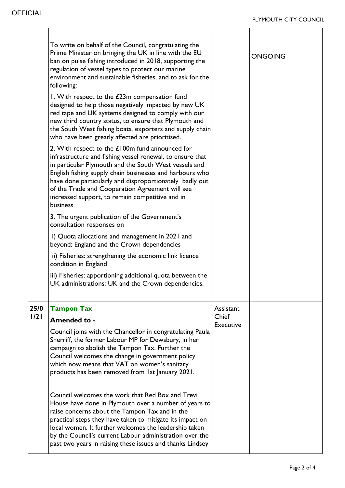$\overline{\mathsf{I}}$ 

|              | To write on behalf of the Council, congratulating the<br>Prime Minister on bringing the UK in line with the EU<br>ban on pulse fishing introduced in 2018, supporting the<br>regulation of vessel types to protect our marine<br>environment and sustainable fisheries, and to ask for the<br>following:<br>I. With respect to the £23m compensation fund<br>designed to help those negatively impacted by new UK<br>red tape and UK systems designed to comply with our<br>new third country status, to ensure that Plymouth and<br>the South West fishing boats, exporters and supply chain<br>who have been greatly affected are prioritised.<br>2. With respect to the £100m fund announced for<br>infrastructure and fishing vessel renewal, to ensure that<br>in particular Plymouth and the South West vessels and<br>English fishing supply chain businesses and harbours who<br>have done particularly and disproportionately badly out<br>of the Trade and Cooperation Agreement will see<br>increased support, to remain competitive and in<br>business.<br>3. The urgent publication of the Government's<br>consultation responses on<br>i) Quota allocations and management in 2021 and<br>beyond: England and the Crown dependencies<br>ii) Fisheries: strengthening the economic link licence<br>condition in England<br>lii) Fisheries: apportioning additional quota between the<br>UK administrations: UK and the Crown dependencies. |                                 | <b>ONGOING</b> |
|--------------|---------------------------------------------------------------------------------------------------------------------------------------------------------------------------------------------------------------------------------------------------------------------------------------------------------------------------------------------------------------------------------------------------------------------------------------------------------------------------------------------------------------------------------------------------------------------------------------------------------------------------------------------------------------------------------------------------------------------------------------------------------------------------------------------------------------------------------------------------------------------------------------------------------------------------------------------------------------------------------------------------------------------------------------------------------------------------------------------------------------------------------------------------------------------------------------------------------------------------------------------------------------------------------------------------------------------------------------------------------------------------------------------------------------------------------------------------------|---------------------------------|----------------|
| 25/0<br>1/21 | <b>Tampon Tax</b><br><b>Amended to -</b><br>Council joins with the Chancellor in congratulating Paula<br>Sherriff, the former Labour MP for Dewsbury, in her<br>campaign to abolish the Tampon Tax. Further the<br>Council welcomes the change in government policy<br>which now means that VAT on women's sanitary<br>products has been removed from 1st January 2021.<br>Council welcomes the work that Red Box and Trevi<br>House have done in Plymouth over a number of years to<br>raise concerns about the Tampon Tax and in the<br>practical steps they have taken to mitigate its impact on<br>local women. It further welcomes the leadership taken<br>by the Council's current Labour administration over the<br>past two years in raising these issues and thanks Lindsey                                                                                                                                                                                                                                                                                                                                                                                                                                                                                                                                                                                                                                                                    | Assistant<br>Chief<br>Executive |                |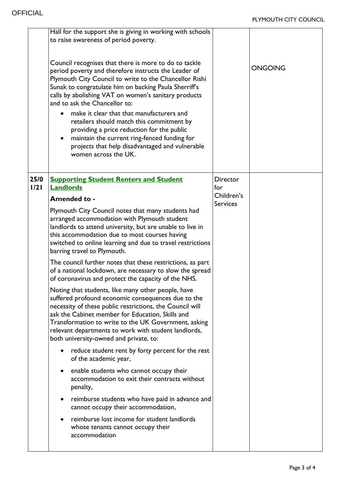|              | Hall for the support she is giving in working with schools<br>to raise awareness of period poverty.<br>Council recognises that there is more to do to tackle<br>period poverty and therefore instructs the Leader of<br>Plymouth City Council to write to the Chancellor Rishi<br>Sunak to congratulate him on backing Paula Sherriff's<br>calls by abolishing VAT on women's sanitary products<br>and to ask the Chancellor to:<br>make it clear that that manufacturers and<br>retailers should match this commitment by<br>providing a price reduction for the public<br>maintain the current ring-fenced funding for<br>projects that help disadvantaged and vulnerable<br>women across the UK. |                               | <b>ONGOING</b> |
|--------------|-----------------------------------------------------------------------------------------------------------------------------------------------------------------------------------------------------------------------------------------------------------------------------------------------------------------------------------------------------------------------------------------------------------------------------------------------------------------------------------------------------------------------------------------------------------------------------------------------------------------------------------------------------------------------------------------------------|-------------------------------|----------------|
| 25/0<br>1/21 | <b>Supporting Student Renters and Student</b><br><b>Landlords</b>                                                                                                                                                                                                                                                                                                                                                                                                                                                                                                                                                                                                                                   | <b>Director</b><br>for        |                |
|              | Amended to -                                                                                                                                                                                                                                                                                                                                                                                                                                                                                                                                                                                                                                                                                        | Children's<br><b>Services</b> |                |
|              | Plymouth City Council notes that many students had<br>arranged accommodation with Plymouth student<br>landlords to attend university, but are unable to live in<br>this accommodation due to most courses having<br>switched to online learning and due to travel restrictions<br>barring travel to Plymouth.<br>The council further notes that these restrictions, as part<br>of a national lockdown, are necessary to slow the spread                                                                                                                                                                                                                                                             |                               |                |
|              | of coronavirus and protect the capacity of the NHS.<br>Noting that students, like many other people, have<br>suffered profound economic consequences due to the<br>necessity of these public restrictions, the Council will<br>ask the Cabinet member for Education, Skills and<br>Transformation to write to the UK Government, asking<br>relevant departments to work with student landlords,<br>both university-owned and private, to:                                                                                                                                                                                                                                                           |                               |                |
|              | reduce student rent by forty percent for the rest<br>of the academic year,                                                                                                                                                                                                                                                                                                                                                                                                                                                                                                                                                                                                                          |                               |                |
|              | enable students who cannot occupy their<br>accommodation to exit their contracts without<br>penalty,                                                                                                                                                                                                                                                                                                                                                                                                                                                                                                                                                                                                |                               |                |
|              | reimburse students who have paid in advance and<br>$\bullet$<br>cannot occupy their accommodation,                                                                                                                                                                                                                                                                                                                                                                                                                                                                                                                                                                                                  |                               |                |
|              | reimburse lost income for student landlords<br>whose tenants cannot occupy their<br>accommodation                                                                                                                                                                                                                                                                                                                                                                                                                                                                                                                                                                                                   |                               |                |